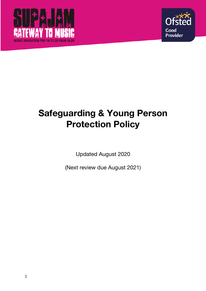



# **Safeguarding & Young Person Protection Policy**

Updated August 2020

(Next review due August 2021)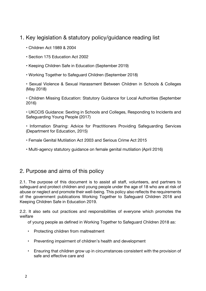## 1. Key legislation & statutory policy/guidance reading list

- Children Act 1989 & 2004
- Section 175 Education Act 2002
- Keeping Children Safe in Education (September 2019)
- Working Together to Safeguard Children (September 2018)

• Sexual Violence & Sexual Harassment Between Children in Schools & Colleges (May 2018)

• Children Missing Education: Statutory Guidance for Local Authorities (September 2016)

• UKCCIS Guidance: Sexting in Schools and Colleges, Responding to Incidents and Safeguarding Young People (2017)

- Information Sharing: Advice for Practitioners Providing Safeguarding Services (Department for Education, 2015)
- Female Genital Mutilation Act 2003 and Serious Crime Act 2015
- Multi-agency statutory guidance on female genital mutilation (April 2016)

# 2. Purpose and aims of this policy

2.1. The purpose of this document is to assist all staff, volunteers, and partners to safeguard and protect children and young people under the age of 18 who are at risk of abuse or neglect and promote their well-being. This policy also reflects the requirements of the government publications Working Together to Safeguard Children 2018 and Keeping Children Safe in Education 2019.

2.2. It also sets out practices and responsibilities of everyone which promotes the welfare

of young people as defined in Working Together to Safeguard Children 2018 as:

- Protecting children from maltreatment
- Preventing impairment of children's health and development
- Ensuring that children grow up in circumstances consistent with the provision of safe and effective care and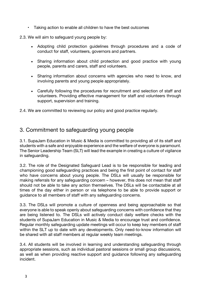• Taking action to enable all children to have the best outcomes

2.3. We will aim to safeguard young people by:

- Adopting child protection guidelines through procedures and a code of conduct for staff, volunteers, governors and partners.
- Sharing information about child protection and good practice with young people, parents and carers, staff and volunteers.
- Sharing information about concerns with agencies who need to know, and involving parents and young people appropriately.
- Carefully following the procedures for recruitment and selection of staff and volunteers. Providing effective management for staff and volunteers through support, supervision and training.

2.4. We are committed to reviewing our policy and good practice regularly.

#### 3. Commitment to safeguarding young people

3.1. SupaJam Education in Music & Media is committed to providing all of its staff and students with a safe and enjoyable experience and the welfare of everyone is paramount. The Senior Leadership Team (SLT) will lead the example in creating a culture of vigilance in safeguarding.

3.2. The role of the Designated Safeguard Lead is to be responsible for leading and championing good safeguarding practices and being the first point of contact for staff who have concerns about young people. The DSLs will usually be responsible for making referrals for any safeguarding concern – however, this does not mean that staff should not be able to take any action themselves. The DSLs will be contactable at all times of the day either in person or via telephone to be able to provide support or guidance to all members of staff with any safeguarding concerns.

3.3. The DSLs will promote a culture of openness and being approachable so that everyone is able to speak openly about safeguarding concerns with confidence that they are being listened to. The DSLs will actively conduct daily welfare checks with the students of SupaJam Education in Music & Media to encourage trust and confidence. Regular monthly safeguarding update meetings will occur to keep key members of staff within the SLT up to date with any developments. Only need-to-know information will be shared with all staff members at regular weekly team meetings.

3.4. All students will be involved in learning and understanding safeguarding through appropriate sessions, such as individual pastoral sessions or small group discussions, as well as when providing reactive support and guidance following any safeguarding incident.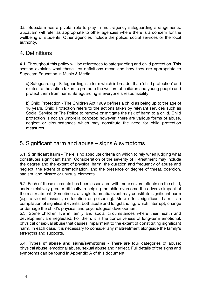3.5. SupaJam has a pivotal role to play in multi-agency safeguarding arrangements. SupaJam will refer as appropriate to other agencies where there is a concern for the wellbeing of students. Other agencies include the police, social services or the local authority.

#### 4. Definitions

4.1. Throughout this policy will be references to safeguarding and child protection. This section explains what these key definitions mean and how they are appropriate to SupaJam Education in Music & Media.

a) Safeguarding - Safeguarding is a term which is broader than 'child protection' and relates to the action taken to promote the welfare of children and young people and protect them from harm. Safeguarding is everyone's responsibility.

b) Child Protection - The Children Act 1989 defines a child as being up to the age of 18 years. Child Protection refers to the actions taken by relevant services such as Social Service or The Police to remove or mitigate the risk of harm to a child. Child protection is not an umbrella concept; however, there are various forms of abuse, neglect or circumstances which may constitute the need for child protection measures.

#### 5. Significant harm and abuse – signs & symptoms

5.1. **Significant harm** - There is no absolute criteria on which to rely when judging what constitutes significant harm. Consideration of the severity of ill-treatment may include the degree and the extent of physical harm, the duration and frequency of abuse and neglect, the extent of premeditation, and the presence or degree of threat, coercion, sadism, and bizarre or unusual elements.

5.2. Each of these elements has been associated with more severe effects on the child, and/or relatively greater difficulty in helping the child overcome the adverse impact of the maltreatment. Sometimes, a single traumatic event may constitute significant harm (e.g. a violent assault, suffocation or poisoning). More often, significant harm is a compilation of significant events, both acute and longstanding, which interrupt, change or damage the child's physical and psychological development.

5.3. Some children live in family and social circumstances where their health and development are neglected. For them, it is the corrosiveness of long-term emotional, physical or sexual abuse that causes impairment to the extent of constituting significant harm. In each case, it is necessary to consider any maltreatment alongside the family's strengths and supports.

5.4. **Types of abuse and signs/symptoms** - There are four categories of abuse: physical abuse, emotional abuse, sexual abuse and neglect. Full details of the signs and symptoms can be found in Appendix A of this document.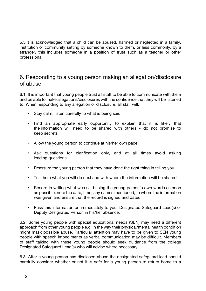5.5.It is acknowledged that a child can be abused, harmed or neglected in a family, institution or community setting by someone known to them, or less commonly, by a stranger, this includes someone in a position of trust such as a teacher or other professional.

#### 6. Responding to a young person making an allegation/disclosure of abuse

6.1. It is important that young people trust all staff to be able to communicate with them and be able to make allegations/disclosures with the confidence that they will be listened to. When responding to any allegation or disclosure, all staff will;

- Stay calm, listen carefully to what is being said
- Find an appropriate early opportunity to explain that it is likely that the information will need to be shared with others - do not promise to keep secrets
- Allow the young person to continue at his/her own pace
- Ask questions for clarification only, and at all times avoid asking leading questions.
- Reassure the young person that they have done the right thing in telling you
- Tell them what you will do next and with whom the information will be shared
- Record in writing what was said using the young person's own words as soon as possible, note the date, time, any names mentioned, to whom the information was given and ensure that the record is signed and dated
- Pass this information on immediately to your Designated Safeguard Lead(s) or Deputy Designated Person in his/her absence.

6.2. Some young people with special educational needs (SEN) may need a different approach from other young people e.g. in the way their physical/mental health condition might mask possible abuse. Particular attention may have to be given to SEN young people with speech impediments as verbal communication may be difficult. Members of staff talking with these young people should seek guidance from the college Designated Safeguard Lead(s) who will advise where necessary.

6.3. After a young person has disclosed abuse the designated safeguard lead should carefully consider whether or not it is safe for a young person to return home to a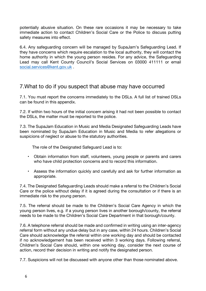potentially abusive situation. On these rare occasions it may be necessary to take immediate action to contact Children's Social Care or the Police to discuss putting safety measures into effect.

6.4. Any safeguarding concern will be managed by SupaJam's Safeguarding Lead. If they have concerns which require escalation to the local authority, they will contact the home authority in which the young person resides. For any advice, the Safeguarding Lead may call Kent County Council's Social Services on 03000 411111 or email social.services@kent.gov.uk .

#### 7.What to do if you suspect that abuse may have occurred

7.1. You must report the concerns immediately to the DSLs. A full list of trained DSLs can be found in this appendix.

7.2. If within two hours of the initial concern arising it had not been possible to contact the DSLs, the matter must be reported to the police.

7.3. The SupaJam Education in Music and Media Designated Safeguarding Leads have been nominated by SupaJam Education in Music and Media to refer allegations or suspicions of neglect or abuse to the statutory authorities.

The role of the Designated Safeguard Lead is to:

- Obtain information from staff, volunteers, young people or parents and carers who have child protection concerns and to record this information.
- Assess the information quickly and carefully and ask for further information as appropriate.

7.4. The Designated Safeguarding Leads should make a referral to the Children's Social Care or the police without delay if it is agreed during the consultation or if there is an immediate risk to the young person.

7.5. The referral should be made to the Children's Social Care Agency in which the young person lives, e.g. if a young person lives in another borough/county, the referral needs to be made to the Children's Social Care Department in that borough/county.

7.6. A telephone referral should be made and confirmed in writing using an inter-agency referral form without any undue delay but in any case, within 24 hours. Children's Social Care should acknowledge the referral within one working day and should be contacted if no acknowledgement has been received within 3 working days. Following referral, Children's Social Care should, within one working day, consider the next course of action, record their decision in writing and notify the designated person.

7.7. Suspicions will not be discussed with anyone other than those nominated above.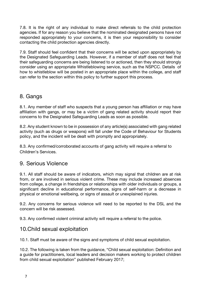7.8. It is the right of any individual to make direct referrals to the child protection agencies. If for any reason you believe that the nominated designated persons have not responded appropriately to your concerns, it is then your responsibility to consider contacting the child protection agencies directly.

7.9. Staff should feel confident that their concerns will be acted upon appropriately by the Designated Safeguarding Leads. However, if a member of staff does not feel that their safeguarding concerns are being listened to or actioned, then they should strongly consider using an appropriate Whistleblowing service, such as the NSPCC. Details of how to whistleblow will be posted in an appropriate place within the college, and staff can refer to the section within this policy to further support this process.

#### 8. Gangs

8.1. Any member of staff who suspects that a young person has affiliation or may have affiliation with gangs, or may be a victim of gang related activity should report their concerns to the Designated Safeguarding Leads as soon as possible.

8.2. Any student known to be in possession of any article(s) associated with gang related activity (such as drugs or weapons) will fall under the Code of Behaviour for Students policy, and the incident will be dealt with promptly and appropriately.

8.3. Any confirmed/corroborated accounts of gang activity will require a referral to Children's Services.

#### 9. Serious Violence

9.1. All staff should be aware of indicators, which may signal that children are at risk from, or are involved in serious violent crime. These may include increased absences from college, a change in friendships or relationships with older individuals or groups, a significant decline in educational performance, signs of self-harm or a decrease in physical or emotional wellbeing, or signs of assault or unexplained injuries.

9.2. Any concerns for serious violence will need to be reported to the DSL and the concern will be risk assessed.

9.3. Any confirmed violent criminal activity will require a referral to the police.

#### 10.Child sexual exploitation

10.1. Staff must be aware of the signs and symptoms of child sexual exploitation.

10.2. The following is taken from the guidance, "Child sexual exploitation: Definition and a guide for practitioners, local leaders and decision makers working to protect children from child sexual exploitation" published February 2017;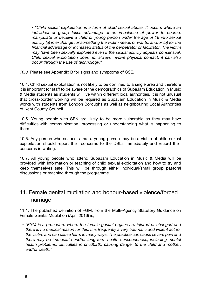• *"Child sexual exploitation is a form of child sexual abuse. It occurs where an individual or group takes advantage of an imbalance of power to coerce, manipulate or deceive a child or young person under the age of 18 into sexual activity (a) in exchange for something the victim needs or wants, and/or (b) for the financial advantage or increased status of the perpetrator or facilitator. The victim may have been sexually exploited even if the sexual activity appears consensual. Child sexual exploitation does not always involve physical contact; it can also occur through the use of technology."*

*10.3.* Please see Appendix B for signs and symptoms of CSE.

10.4. Child sexual exploitation is not likely to be confined to a single area and therefore it is important for staff to be aware of the demographics of SupaJam Education in Music & Media students as students will live within different local authorities. It is not unusual that cross-border working will be required as SupaJam Education in Music & Media works with students from London Boroughs as well as neighbouring Local Authorities of Kent County Council.

10.5. Young people with SEN are likely to be more vulnerable as they may have difficulties with communication, processing or understanding what is happening to them.

10.6. Any person who suspects that a young person may be a victim of child sexual exploitation should report their concerns to the DSLs immediately and record their concerns in writing.

10.7. All young people who attend SupaJam Education in Music & Media will be provided with information or teaching of child sexual exploitation and how to try and keep themselves safe. This will be through either individual/small group pastoral discussions or teaching through the programme.

# 11. Female genital mutilation and honour-based violence/forced marriage

11.1. The published definition of FGM, from the Multi-Agency Statutory Guidance on Female Genital Mutilation (April 2016) is;

• *"FGM is a procedure where the female genital organs are injured or changed and there is no medical reason for this. It is frequently a very traumatic and violent act for the victim and can cause harm in many ways. The practice can cause severe pain and there may be immediate and/or long-term health consequences, including mental health problems, difficulties in childbirth, causing danger to the child and mother; and/or death."*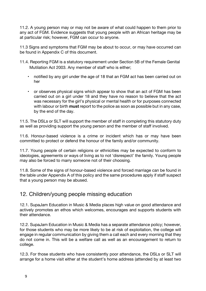11.2. A young person may or may not be aware of what could happen to them prior to any act of FGM. Evidence suggests that young people with an African heritage may be at particular risk; however, FGM can occur to anyone.

11.3 Signs and symptoms that FGM may be about to occur, or may have occurred can be found in Appendix C of this document.

- 11.4. Reporting FGM is a statutory requirement under Section 5B of the Female Genital Mutilation Act 2003. Any member of staff who is either;
	- notified by any girl under the age of 18 that an FGM act has been carried out on her
	- or observes physical signs which appear to show that an act of FGM has been carried out on a girl under 18 and they have no reason to believe that the act was necessary for the girl's physical or mental health or for purposes connected with labour or birth **must** report to the police as soon as possible but in any case, by the end of the day.

11.5. The DSLs or SLT will support the member of staff in completing this statutory duty as well as providing support the young person and the member of staff involved.

11.6. Honour-based violence is a crime or incident which has or may have been committed to protect or defend the honour of the family and/or community.

11.7. Young people of certain religions or ethnicities may be expected to conform to ideologies, agreements or ways of living as to not 'disrespect' the family. Young people may also be forced to marry someone not of their choosing.

11.8. Some of the signs of honour-based violence and forced marriage can be found in the table under Appendix A of this policy and the same procedures apply if staff suspect that a young person may be abused.

#### 12. Children/young people missing education

12.1. SupaJam Education in Music & Media places high value on good attendance and actively promotes an ethos which welcomes, encourages and supports students with their attendance.

12.2. SupaJam Education in Music & Media has a separate attendance policy; however, for those students who may be more likely to be at risk of exploitation, the college will engage in regular communication by giving them a call each and every morning that they do not come in. This will be a welfare call as well as an encouragement to return to college.

12.3. For those students who have consistently poor attendance, the DSLs or SLT will arrange for a home visit either at the student's home address (attended by at least two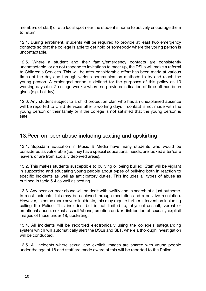members of staff) or at a local spot near the student's home to actively encourage them to return.

12.4. During enrolment, students will be required to provide at least two emergency contacts so that the college is able to get hold of somebody where the young person is uncontactable.

12.5. Where a student and their family/emergency contacts are consistently uncontactable, or do not respond to invitations to meet up, the DSLs will make a referral to Children's Services. This will be after considerable effort has been made at various times of the day and through various communication methods to try and reach the young person. A prolonged period is defined for the purposes of this policy as 10 working days (i.e. 2 college weeks) where no previous indication of time off has been given (e.g. holiday).

12.6. Any student subject to a child protection plan who has an unexplained absence will be reported to Child Services after 5 working days if contact is not made with the young person or their family or if the college is not satisfied that the young person is safe.

#### 13.Peer-on-peer abuse including sexting and upskirting

13.1. SupaJam Education in Music & Media have many students who would be considered as vulnerable (i.e. they have special educational needs, are looked after/care leavers or are from socially deprived areas).

13.2. This makes students susceptible to bullying or being bullied. Staff will be vigilant in supporting and educating young people about types of bullying both in reaction to specific incidents as well as anticipatory duties. This includes all types of abuse as outlined in table 5.4 as well as sexting.

13.3. Any peer-on-peer abuse will be dealt with swiftly and in search of a just outcome. In most incidents, this may be achieved through mediation and a positive resolution. However, in some more severe incidents, this may require further intervention including calling the Police. This includes, but is not limited to, physical assault, verbal or emotional abuse, sexual assault/abuse, creation and/or distribution of sexually explicit images of those under 18, upskirting.

13.4. All incidents will be recorded electronically using the college's safeguarding system which will automatically alert the DSLs and SLT, where a thorough investigation will be conducted.

13.5. All incidents where sexual and explicit images are shared with young people under the age of 18 and staff are made aware of this will be reported to the Police.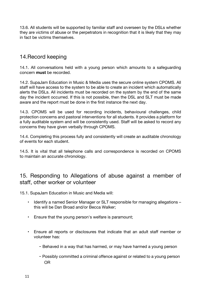13.6. All students will be supported by familiar staff and overseen by the DSLs whether they are victims of abuse or the perpetrators in recognition that it is likely that they may in fact be victims themselves.

# 14.Record keeping

14.1. All conversations held with a young person which amounts to a safeguarding concern **must** be recorded.

14.2. SupaJam Education in Music & Media uses the secure online system CPOMS. All staff will have access to the system to be able to create an incident which automatically alerts the DSLs. All incidents must be recorded on the system by the end of the same day the incident occurred. If this is not possible, then the DSL and SLT must be made aware and the report must be done in the first instance the next day.

14.3. CPOMS will be used for recording incidents, behavioural challenges, child protection concerns and pastoral interventions for all students. It provides a platform for a fully auditable system and will be consistently used. Staff will be asked to record any concerns they have given verbally through CPOMS.

14.4. Completing this process fully and consistently will create an auditable chronology of events for each student.

14.5. It is vital that all telephone calls and correspondence is recorded on CPOMS to maintain an accurate chronology.

## 15. Responding to Allegations of abuse against a member of staff, other worker or volunteer

15.1. SupaJam Education in Music and Media will:

- Identify a named Senior Manager or SLT responsible for managing allegations this will be Dan Broad and/or Becca Walker;
- Ensure that the young person's welfare is paramount;
- Ensure all reports or disclosures that indicate that an adult staff member or volunteer has:
	- Behaved in a way that has harmed, or may have harmed a young person
	- Possibly committed a criminal offence against or related to a young person OR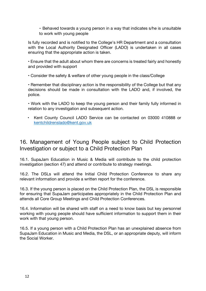- Behaved towards a young person in a way that indicates s/he is unsuitable to work with young people

Is fully recorded and is notified to the College's HR Department and a consultation with the Local Authority Designated Officer (LADO) is undertaken in all cases ensuring that the appropriate action is taken.

• Ensure that the adult about whom there are concerns is treated fairly and honestly and provided with support

• Consider the safety & welfare of other young people in the class/College

• Remember that disciplinary action is the responsibility of the College but that any decisions should be made in consultation with the LADO and, if involved, the police.

• Work with the LADO to keep the young person and their family fully informed in relation to any investigation and subsequent action.

• Kent County Council LADO Service can be contacted on 03000 410888 or kentchildrenslado@kent.gov.uk

# 16. Management of Young People subject to Child Protection Investigation or subject to a Child Protection Plan

16.1. SupaJam Education in Music & Media will contribute to the child protection investigation (section 47) and attend or contribute to strategy meetings.

16.2. The DSLs will attend the Initial Child Protection Conference to share any relevant information and provide a written report for the conference.

16.3. If the young person is placed on the Child Protection Plan, the DSL is responsible for ensuring that SupaJam participates appropriately in the Child Protection Plan and attends all Core Group Meetings and Child Protection Conferences.

16.4. Information will be shared with staff on a need to know basis but key personnel working with young people should have sufficient information to support them in their work with that young person.

16.5. If a young person with a Child Protection Plan has an unexplained absence from SupaJam Education in Music and Media, the DSL, or an appropriate deputy, will inform the Social Worker.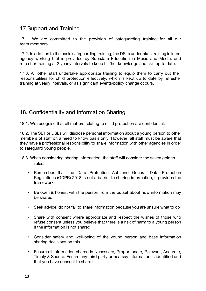# 17.Support and Training

17.1. We are committed to the provision of safeguarding training for all our team members.

17.2. In addition to the basic safeguarding training, the DSLs undertakes training in interagency working that is provided by SupaJam Education in Music and Media, and refresher training at 2 yearly intervals to keep his/her knowledge and skill up to date.

17.3. All other staff undertake appropriate training to equip them to carry out their responsibilities for child protection effectively, which is kept up to date by refresher training at yearly intervals, or as significant events/policy change occurs.

# 18. Confidentiality and Information Sharing

18.1. We recognise that all matters relating to child protection are confidential.

18.2. The SLT or DSLs will disclose personal information about a young person to other members of staff on a need to know basis only. However, all staff must be aware that they have a professional responsibility to share information with other agencies in order to safeguard young people.

- 18.3. When considering sharing information, the staff will consider the seven golden rules:
	- Remember that the Data Protection Act and General Data Protection Regulations (GDPR) 2018 is not a barrier to sharing information, it provides the framework
	- Be open & honest with the person from the outset about how information may be shared
	- Seek advice, do not fail to share information because you are unsure what to do
	- Share with consent where appropriate and respect the wishes of those who refuse consent unless you believe that there is a risk of harm to a young person if the information is not shared
	- Consider safety and well-being of the young person and base information sharing decisions on this
	- Ensure all information shared is Necessary, Proportionate, Relevant, Accurate, Timely & Secure. Ensure any third party or hearsay information is identified and that you have consent to share it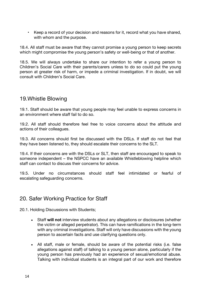• Keep a record of your decision and reasons for it, record what you have shared, with whom and the purpose.

18.4. All staff must be aware that they cannot promise a young person to keep secrets which might compromise the young person's safety or well-being or that of another.

18.5. We will always undertake to share our intention to refer a young person to Children's Social Care with their parents/carers unless to do so could put the young person at greater risk of harm, or impede a criminal investigation. If in doubt, we will consult with Children's Social Care.

## 19.Whistle Blowing

19.1. Staff should be aware that young people may feel unable to express concerns in an environment where staff fail to do so.

19.2. All staff should therefore feel free to voice concerns about the attitude and actions of their colleagues.

19.3. All concerns should first be discussed with the DSLs. If staff do not feel that they have been listened to, they should escalate their concerns to the SLT.

19.4. If their concerns are with the DSLs or SLT, then staff are encouraged to speak to someone independent – the NSPCC have an available Whistleblowing helpline which staff can contact to discuss their concerns for advice.

19.5. Under no circumstances should staff feel intimidated or fearful of escalating safeguarding concerns.

#### 20. Safer Working Practice for Staff

20.1. Holding Discussions with Students;

- Staff **will not** interview students about any allegations or disclosures (whether the victim or alleged perpetrator). This can have ramifications in the long-term with any criminal investigations. Staff will only have discussions with the young person to ascertain facts and use clarifying questions only.
- All staff, male or female, should be aware of the potential risks (i.e. false allegations against staff) of talking to a young person alone, particularly if the young person has previously had an experience of sexual/emotional abuse. Talking with individual students is an integral part of our work and therefore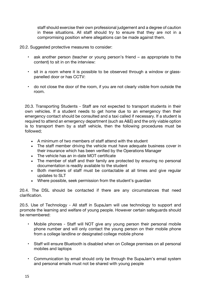staff should exercise their own professional judgement and a degree of caution in these situations. All staff should try to ensure that they are not in a compromising position where allegations can be made against them.

20.2. Suggested protective measures to consider:

- ask another person (teacher or young person's friend as appropriate to the content) to sit in on the interview:
- sit in a room where it is possible to be observed through a window or glasspanelled door or has CCTV:
- do not close the door of the room, if you are not clearly visible from outside the room.

20.3. Transporting Students - Staff are not expected to transport students in their own vehicles. If a student needs to get home due to an emergency then their emergency contact should be consulted and a taxi called if necessary. If a student is required to attend an emergency department (such as A&E) and the only viable option is to transport them by a staff vehicle, then the following procedures must be followed;

- A minimum of two members of staff attend with the student
- The staff member driving the vehicle must have adequate business cover in their insurance which has been verified by the Operations Manager
- The vehicle has an in-date MOT certificate
- The member of staff and their family are protected by ensuring no personal documentation is readily available to the student
- Both members of staff must be contactable at all times and give regular updates to SLT
- Where possible, seek permission from the student's guardian

20.4. The DSL should be contacted if there are any circumstances that need clarification.

20.5. Use of Technology - All staff in SupaJam will use technology to support and promote the learning and welfare of young people. However certain safeguards should be remembered:

- Mobile phones Staff will NOT give any young person their personal mobile phone number and will only contact the young person on their mobile phone from a college landline or designated college mobile phone
- Staff will ensure Bluetooth is disabled when on College premises on all personal mobiles and laptops
- Communication by email should only be through the SupaJam's email system and personal emails must not be shared with young people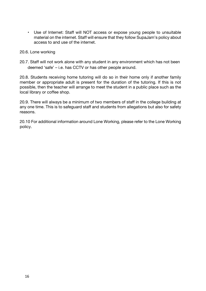• Use of Internet: Staff will NOT access or expose young people to unsuitable material on the internet. Staff will ensure that they follow SupaJam's policy about access to and use of the internet.

#### 20.6. Lone working

20.7. Staff will not work alone with any student in any environment which has not been deemed 'safe' – i.e. has CCTV or has other people around.

20.8. Students receiving home tutoring will do so in their home only if another family member or appropriate adult is present for the duration of the tutoring. If this is not possible, then the teacher will arrange to meet the student in a public place such as the local library or coffee shop.

20.9. There will always be a minimum of two members of staff in the college building at any one time. This is to safeguard staff and students from allegations but also for safety reasons.

20.10 For additional information around Lone Working, please refer to the Lone Working policy.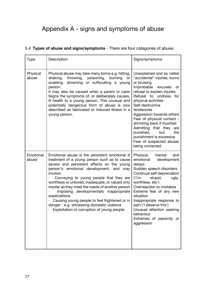# Appendix A - signs and symptoms of abuse

#### 5.4 **Types of abuse and signs/symptoms** - There are four categories of abuse:

| <b>Type</b>        | Description                                                                                                                                                                                                                                                                                                                                                                                                                                                                                                                                                    | Signs/symptoms                                                                                                                                                                                                                                                                                                                                                                                                                                          |
|--------------------|----------------------------------------------------------------------------------------------------------------------------------------------------------------------------------------------------------------------------------------------------------------------------------------------------------------------------------------------------------------------------------------------------------------------------------------------------------------------------------------------------------------------------------------------------------------|---------------------------------------------------------------------------------------------------------------------------------------------------------------------------------------------------------------------------------------------------------------------------------------------------------------------------------------------------------------------------------------------------------------------------------------------------------|
| Physical<br>abuse  | Physical abuse may take many forms e.g. hitting,<br>throwing, poisoning,<br>shaking,<br>burning<br>or<br>drowning or suffocating a young<br>scalding,<br>person.<br>It may also be caused when a parent or carer<br>feigns the symptoms of, or deliberately causes,<br>ill health to a young person. This unusual and<br>potentially dangerous form of abuse is now<br>described as fabricated or induced illness in a<br>young person.                                                                                                                        | Unexplained and so called<br>"accidental" injuries, burns<br>or bruising<br>Improbable<br>excuses<br>or<br>refusal to explain injuries<br>Refusal to undress<br>for<br>physical activities<br>Self-destructive<br>tendencies<br>Aggression towards others<br>Fear of physical contact -<br>shrinking back if touched<br>Admitting that they<br>are<br>punished,<br>but<br>the<br>punishment is excessive<br>Fear of suspected abuser<br>being contacted |
| Emotional<br>abuse | Emotional abuse is the persistent emotional ill<br>treatment of a young person such as to cause<br>severe and persistent effects on the young<br>person's emotional development, and may<br>involve:<br>Conveying to young people that they are<br>worthless or unloved, inadequate, or valued only<br>insofar as they meet the needs of another person<br>Imposing developmentally inappropriate<br>expectations<br>Causing young people to feel frightened or in<br>danger - e.g. witnessing domestic violence<br>Exploitation or corruption of young people | Physical,<br>mental<br>and<br>emotional<br>development<br>delays<br>Sudden speech disorders<br>Continual self-depreciation<br>('I'm)<br>stupid,<br>ugly,<br>worthless, etc')<br>Overreaction to mistakes<br>Extreme fear of any new<br>situation<br>Inappropriate response to<br>pain ('I deserve this')<br>Unusual attention seeking<br>behaviour<br>Extremes of passivity or<br>aggression                                                            |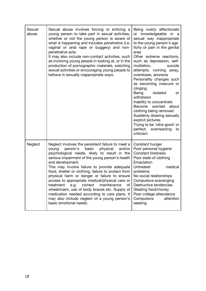| Sexual<br>abuse | Sexual abuse involves forcing or enticing a<br>young person to take part in sexual activities,<br>whether or not the young person is aware of<br>what is happening and includes penetrative (i.e.<br>vaginal or anal rape or buggery) and non-<br>penetrative acts.<br>It may also include non-contact activities, such<br>as involving young people in looking at, or in the<br>production of pornographic materials, watching<br>sexual activities or encouraging young people to<br>behave in sexually inappropriate ways.                                                                                                                                          | Being overly affectionate<br>or knowledgeable<br>in a<br>sexual way inappropriate<br>to the young person's age<br>Itchy or pain in the genital<br>area<br>Other extreme reactions,<br>such as depression, self-<br>mutilation,<br>suicide<br>attempts, running away,<br>overdoses, anorexia<br>Personality changes such<br>as becoming insecure or<br>clinging<br>isolated<br>Being<br>or<br>withdrawn<br>Inability to concentrate<br>Become<br>worried<br>about<br>clothing being removed<br>Suddenly drawing sexually<br>explicit pictures<br>Trying to be 'ultra-good' or<br>perfect; overreacting<br>to<br>criticism |
|-----------------|------------------------------------------------------------------------------------------------------------------------------------------------------------------------------------------------------------------------------------------------------------------------------------------------------------------------------------------------------------------------------------------------------------------------------------------------------------------------------------------------------------------------------------------------------------------------------------------------------------------------------------------------------------------------|--------------------------------------------------------------------------------------------------------------------------------------------------------------------------------------------------------------------------------------------------------------------------------------------------------------------------------------------------------------------------------------------------------------------------------------------------------------------------------------------------------------------------------------------------------------------------------------------------------------------------|
| Neglect         | Neglect involves the persistent failure to meet a<br>person's<br>basic<br>physical<br>and/or<br>young<br>psychological needs, likely to result in the<br>serious impairment of the young person's health<br>and development.<br>This may involve failure to provide adequate<br>food, shelter or clothing, failure to protect from<br>physical harm or danger or failure to ensure<br>access to appropriate medical/physical care or<br>treatment<br>correct<br>maintenance<br>e.g.<br>of<br>wheelchairs, use of body braces etc. Supply of<br>medication needed according to care plans. It<br>may also include neglect of a young person's<br>basic emotional needs. | Constant hunger<br>Poor personal hygiene<br><b>Constant tiredness</b><br>Poor state of clothing<br>Emaciation<br><b>Untreated</b><br>medical<br>problems<br>No social relationships<br>Compulsive scavenging<br>Destructive tendencies<br>Stealing food/money<br>Poor college attendance<br>Compulsive<br>attention<br>seeking                                                                                                                                                                                                                                                                                           |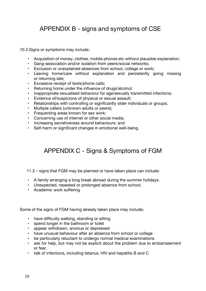# APPENDIX B - signs and symptoms of CSE

*10.3.*Signs or symptoms may include;

- Acquisition of money, clothes, mobile phones etc without plausible explanation;
- Gang-association and/or isolation from peers/social networks;
- Exclusion or unexplained absences from school, college or work;
- Leaving home/care without explanation and persistently going missing or returning late;
- Excessive receipt of texts/phone calls;
- Returning home under the influence of drugs/alcohol;
- Inappropriate sexualised behaviour for age/sexually transmitted infections;
- Evidence of/suspicions of physical or sexual assault;
- Relationships with controlling or significantly older individuals or groups;
- Multiple callers (unknown adults or peers);
- Frequenting areas known for sex work;
- Concerning use of internet or other social media;
- Increasing secretiveness around behaviours; and
- Self-harm or significant changes in emotional well-being.

# APPENDIX C - Signs & Symptoms of FGM

11.3 – signs that FGM may be planned or have taken place can include:

- A family arranging a long break abroad during the summer holidays.
- Unexpected, repeated or prolonged absence from school.
- Academic work suffering

Some of the signs of FGM having already taken place may include;

- have difficulty walking, standing or sitting
- spend longer in the bathroom or toilet
- appear withdrawn, anxious or depressed
- have unusual behaviour after an absence from school or college
- be particularly reluctant to undergo normal medical examinations
- ask for help, but may not be explicit about the problem due to embarrassment or fear.
- talk of infections, including tetanus, HIV and hepatitis B and C